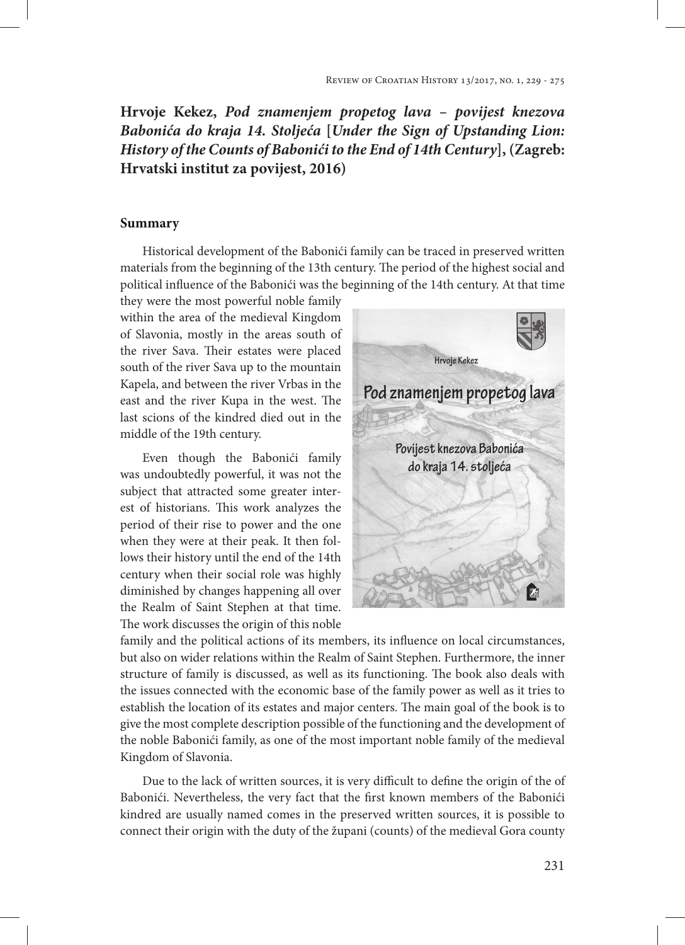## **Hrvoje Kekez,** *Pod znamenjem propetog lava – povijest knezova Babonića do kraja 14. Stoljeća* **[***Under the Sign of Upstanding Lion: History of the Counts of Babonići to the End of 14th Century***], (Zagreb: Hrvatski institut za povijest, 2016)**

## **Summary**

Historical development of the Babonići family can be traced in preserved written materials from the beginning of the 13th century. The period of the highest social and political influence of the Babonići was the beginning of the 14th century. At that time

they were the most powerful noble family within the area of the medieval Kingdom of Slavonia, mostly in the areas south of the river Sava. Their estates were placed south of the river Sava up to the mountain Kapela, and between the river Vrbas in the east and the river Kupa in the west. The last scions of the kindred died out in the middle of the 19th century.

Even though the Babonići family was undoubtedly powerful, it was not the subject that attracted some greater interest of historians. This work analyzes the period of their rise to power and the one when they were at their peak. It then follows their history until the end of the 14th century when their social role was highly diminished by changes happening all over the Realm of Saint Stephen at that time. The work discusses the origin of this noble



family and the political actions of its members, its influence on local circumstances, but also on wider relations within the Realm of Saint Stephen. Furthermore, the inner structure of family is discussed, as well as its functioning. The book also deals with the issues connected with the economic base of the family power as well as it tries to establish the location of its estates and major centers. The main goal of the book is to give the most complete description possible of the functioning and the development of the noble Babonići family, as one of the most important noble family of the medieval Kingdom of Slavonia.

Due to the lack of written sources, it is very difficult to define the origin of the of Babonići. Nevertheless, the very fact that the first known members of the Babonići kindred are usually named comes in the preserved written sources, it is possible to connect their origin with the duty of the župani (counts) of the medieval Gora county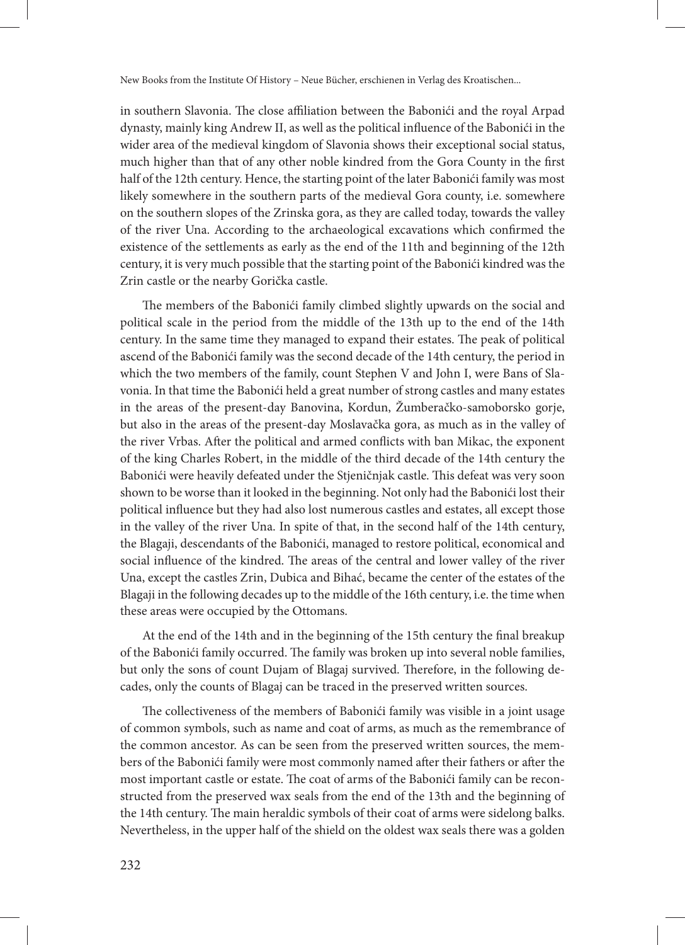New Books from the Institute Of History – Neue Bücher, erschienen in Verlag des Kroatischen...

in southern Slavonia. The close affiliation between the Babonići and the royal Arpad dynasty, mainly king Andrew II, as well as the political influence of the Babonići in the wider area of the medieval kingdom of Slavonia shows their exceptional social status, much higher than that of any other noble kindred from the Gora County in the first half of the 12th century. Hence, the starting point of the later Babonići family was most likely somewhere in the southern parts of the medieval Gora county, i.e. somewhere on the southern slopes of the Zrinska gora, as they are called today, towards the valley of the river Una. According to the archaeological excavations which confirmed the existence of the settlements as early as the end of the 11th and beginning of the 12th century, it is very much possible that the starting point of the Babonići kindred was the Zrin castle or the nearby Gorička castle.

The members of the Babonići family climbed slightly upwards on the social and political scale in the period from the middle of the 13th up to the end of the 14th century. In the same time they managed to expand their estates. The peak of political ascend of the Babonići family was the second decade of the 14th century, the period in which the two members of the family, count Stephen V and John I, were Bans of Slavonia. In that time the Babonići held a great number of strong castles and many estates in the areas of the present-day Banovina, Kordun, Žumberačko-samoborsko gorje, but also in the areas of the present-day Moslavačka gora, as much as in the valley of the river Vrbas. After the political and armed conflicts with ban Mikac, the exponent of the king Charles Robert, in the middle of the third decade of the 14th century the Babonići were heavily defeated under the Stjeničnjak castle. This defeat was very soon shown to be worse than it looked in the beginning. Not only had the Babonići lost their political influence but they had also lost numerous castles and estates, all except those in the valley of the river Una. In spite of that, in the second half of the 14th century, the Blagaji, descendants of the Babonići, managed to restore political, economical and social influence of the kindred. The areas of the central and lower valley of the river Una, except the castles Zrin, Dubica and Bihać, became the center of the estates of the Blagaji in the following decades up to the middle of the 16th century, i.e. the time when these areas were occupied by the Ottomans.

At the end of the 14th and in the beginning of the 15th century the final breakup of the Babonići family occurred. The family was broken up into several noble families, but only the sons of count Dujam of Blagaj survived. Therefore, in the following decades, only the counts of Blagaj can be traced in the preserved written sources.

The collectiveness of the members of Babonići family was visible in a joint usage of common symbols, such as name and coat of arms, as much as the remembrance of the common ancestor. As can be seen from the preserved written sources, the members of the Babonići family were most commonly named after their fathers or after the most important castle or estate. The coat of arms of the Babonići family can be reconstructed from the preserved wax seals from the end of the 13th and the beginning of the 14th century. The main heraldic symbols of their coat of arms were sidelong balks. Nevertheless, in the upper half of the shield on the oldest wax seals there was a golden